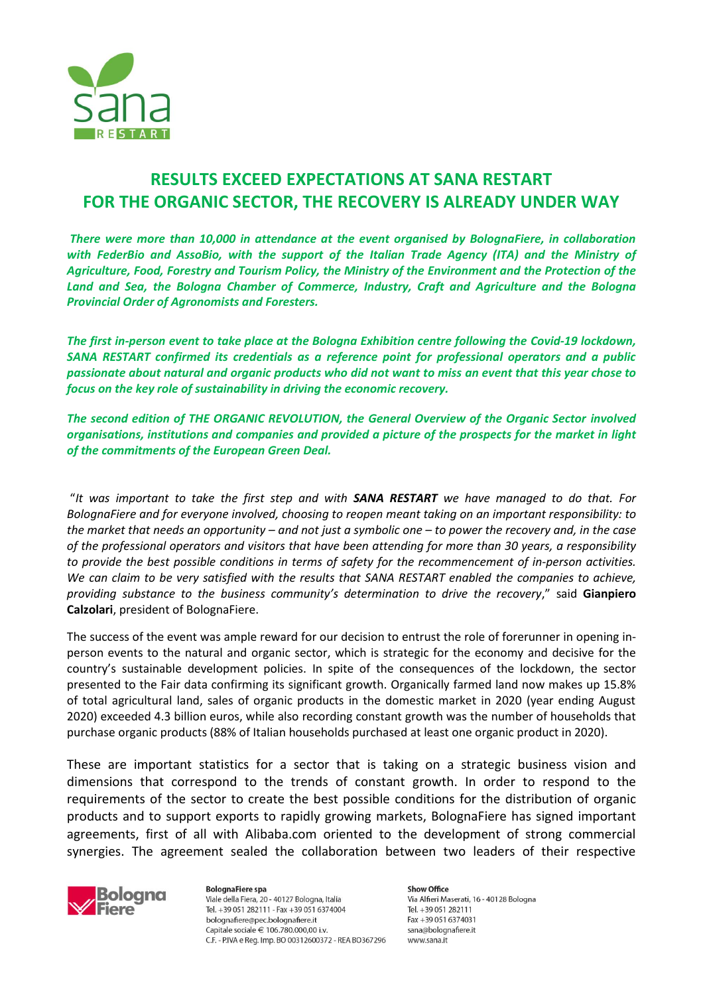

## **RESULTS EXCEED EXPECTATIONS AT SANA RESTART FOR THE ORGANIC SECTOR, THE RECOVERY IS ALREADY UNDER WAY**

*There were more than 10,000 in attendance at the event organised by BolognaFiere, in collaboration with FederBio and AssoBio, with the support of the Italian Trade Agency (ITA) and the Ministry of Agriculture, Food, Forestry and Tourism Policy, the Ministry of the Environment and the Protection of the Land and Sea, the Bologna Chamber of Commerce, Industry, Craft and Agriculture and the Bologna Provincial Order of Agronomists and Foresters.*

*The first in-person event to take place at the Bologna Exhibition centre following the Covid-19 lockdown, SANA RESTART confirmed its credentials as a reference point for professional operators and a public passionate about natural and organic products who did not want to miss an event that this year chose to focus on the key role of sustainability in driving the economic recovery.*

*The second edition of THE ORGANIC REVOLUTION, the General Overview of the Organic Sector involved organisations, institutions and companies and provided a picture of the prospects for the market in light of the commitments of the European Green Deal.*

"*It was important to take the first step and with SANA RESTART we have managed to do that. For BolognaFiere and for everyone involved, choosing to reopen meant taking on an important responsibility: to the market that needs an opportunity – and not just a symbolic one – to power the recovery and, in the case of the professional operators and visitors that have been attending for more than 30 years, a responsibility to provide the best possible conditions in terms of safety for the recommencement of in-person activities. We can claim to be very satisfied with the results that SANA RESTART enabled the companies to achieve, providing substance to the business community's determination to drive the recovery*," said **Gianpiero Calzolari**, president of BolognaFiere.

The success of the event was ample reward for our decision to entrust the role of forerunner in opening inperson events to the natural and organic sector, which is strategic for the economy and decisive for the country's sustainable development policies. In spite of the consequences of the lockdown, the sector presented to the Fair data confirming its significant growth. Organically farmed land now makes up 15.8% of total agricultural land, sales of organic products in the domestic market in 2020 (year ending August 2020) exceeded 4.3 billion euros, while also recording constant growth was the number of households that purchase organic products (88% of Italian households purchased at least one organic product in 2020).

These are important statistics for a sector that is taking on a strategic business vision and dimensions that correspond to the trends of constant growth. In order to respond to the requirements of the sector to create the best possible conditions for the distribution of organic products and to support exports to rapidly growing markets, BolognaFiere has signed important agreements, first of all with Alibaba.com oriented to the development of strong commercial synergies. The agreement sealed the collaboration between two leaders of their respective



**BolognaFiere spa** Viale della Fiera, 20 - 40127 Bologna, Italia Tel. +39 051 282111 - Fax +39 051 6374004 bolognafiere@pec.bolognafiere.it Capitale sociale € 106.780.000.00 i.v. C.F. - P.IVA e Reg. Imp. BO 00312600372 - REA BO367296

**Show Office** Via Alfieri Maserati, 16 - 40128 Bologna Tel. +39 051 282111 Fax +39 051 6374031 sana@bolognafiere.it www.sana.it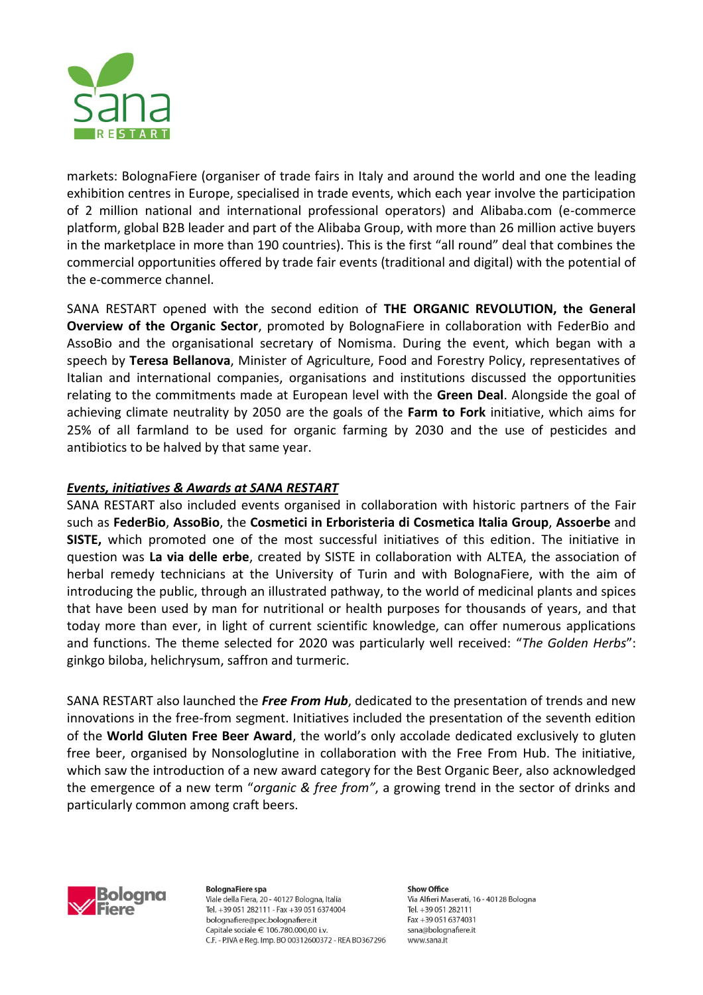

markets: BolognaFiere (organiser of trade fairs in Italy and around the world and one the leading exhibition centres in Europe, specialised in trade events, which each year involve the participation of 2 million national and international professional operators) and Alibaba.com (e-commerce platform, global B2B leader and part of the Alibaba Group, with more than 26 million active buyers in the marketplace in more than 190 countries). This is the first "all round" deal that combines the commercial opportunities offered by trade fair events (traditional and digital) with the potential of the e-commerce channel.

SANA RESTART opened with the second edition of **THE ORGANIC REVOLUTION, the General Overview of the Organic Sector**, promoted by BolognaFiere in collaboration with FederBio and AssoBio and the organisational secretary of Nomisma. During the event, which began with a speech by **Teresa Bellanova**, Minister of Agriculture, Food and Forestry Policy, representatives of Italian and international companies, organisations and institutions discussed the opportunities relating to the commitments made at European level with the **Green Deal**. Alongside the goal of achieving climate neutrality by 2050 are the goals of the **Farm to Fork** initiative, which aims for 25% of all farmland to be used for organic farming by 2030 and the use of pesticides and antibiotics to be halved by that same year.

## *Events, initiatives & Awards at SANA RESTART*

SANA RESTART also included events organised in collaboration with historic partners of the Fair such as **FederBio**, **AssoBio**, the **Cosmetici in Erboristeria di Cosmetica Italia Group**, **Assoerbe** and **SISTE,** which promoted one of the most successful initiatives of this edition. The initiative in question was **La via delle erbe**, created by SISTE in collaboration with ALTEA, the association of herbal remedy technicians at the University of Turin and with BolognaFiere, with the aim of introducing the public, through an illustrated pathway, to the world of medicinal plants and spices that have been used by man for nutritional or health purposes for thousands of years, and that today more than ever, in light of current scientific knowledge, can offer numerous applications and functions. The theme selected for 2020 was particularly well received: "*The Golden Herbs*": ginkgo biloba, helichrysum, saffron and turmeric.

SANA RESTART also launched the *Free From Hub*, dedicated to the presentation of trends and new innovations in the free-from segment. Initiatives included the presentation of the seventh edition of the **World Gluten Free Beer Award**, the world's only accolade dedicated exclusively to gluten free beer, organised by Nonsologlutine in collaboration with the Free From Hub. The initiative, which saw the introduction of a new award category for the Best Organic Beer, also acknowledged the emergence of a new term "*organic & free from"*, a growing trend in the sector of drinks and particularly common among craft beers.



**BolognaFiere spa** Viale della Fiera, 20 - 40127 Bologna, Italia Tel. +39 051 282111 - Fax +39 051 6374004 bolognafiere@pec.bolognafiere.it Capitale sociale € 106.780.000.00 i.v. C.F. - P.IVA e Reg. Imp. BO 00312600372 - REA BO367296

**Show Office** Via Alfieri Maserati, 16 - 40128 Bologna Tel. +39 051 282111 Fax +39 051 6374031 sana@bolognafiere.it www.sana.it